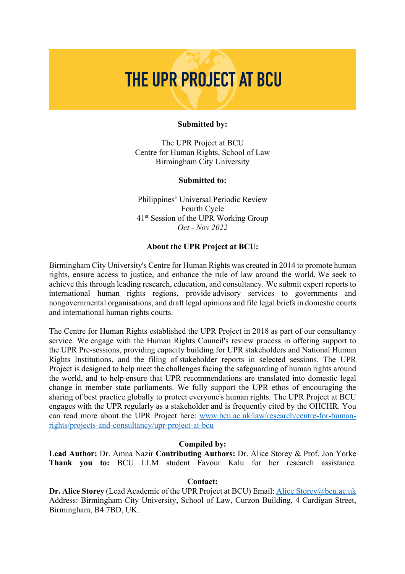# THE UPR PROJECT AT BCU

#### **Submitted by:**

The UPR Project at BCU Centre for Human Rights, School of Law Birmingham City University

#### **Submitted to:**

Philippines' Universal Periodic Review Fourth Cycle 41st Session of the UPR Working Group *Oct - Nov 2022*

#### **About the UPR Project at BCU:**

Birmingham City University's Centre for Human Rights was created in 2014 to promote human rights, ensure access to justice, and enhance the rule of law around the world. We seek to achieve this through leading research, education, and consultancy. We submit expert reports to international human rights regions, provide advisory services to governments and nongovernmental organisations, and draft legal opinions and file legal briefs in domestic courts and international human rights courts.

The Centre for Human Rights established the UPR Project in 2018 as part of our consultancy service. We engage with the Human Rights Council's review process in offering support to the UPR Pre-sessions, providing capacity building for UPR stakeholders and National Human Rights Institutions, and the filing of stakeholder reports in selected sessions. The UPR Project is designed to help meet the challenges facing the safeguarding of human rights around the world, and to help ensure that UPR recommendations are translated into domestic legal change in member state parliaments. We fully support the UPR ethos of encouraging the sharing of best practice globally to protect everyone's human rights. The UPR Project at BCU engages with the UPR regularly as a stakeholder and is frequently cited by the OHCHR. You can read more about the UPR Project here: www.bcu.ac.uk/law/research/centre-for-humanrights/projects-and-consultancy/upr-project-at-bcu

#### **Compiled by:**

**Lead Author:** Dr. Amna Nazir **Contributing Authors:** Dr. Alice Storey & Prof. Jon Yorke **Thank you to:** BCU LLM student Favour Kalu for her research assistance.

# **Contact:**

**Dr. Alice Storey** (Lead Academic of the UPR Project at BCU) Email: Alice.Storey@bcu.ac.uk Address: Birmingham City University, School of Law, Curzon Building, 4 Cardigan Street, Birmingham, B4 7BD, UK.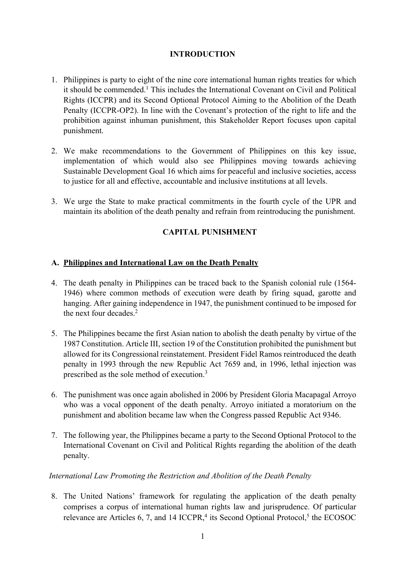# **INTRODUCTION**

- 1. Philippines is party to eight of the nine core international human rights treaties for which it should be commended. <sup>1</sup> This includes the International Covenant on Civil and Political Rights (ICCPR) and its Second Optional Protocol Aiming to the Abolition of the Death Penalty (ICCPR-OP2). In line with the Covenant's protection of the right to life and the prohibition against inhuman punishment, this Stakeholder Report focuses upon capital punishment.
- 2. We make recommendations to the Government of Philippines on this key issue, implementation of which would also see Philippines moving towards achieving Sustainable Development Goal 16 which aims for peaceful and inclusive societies, access to justice for all and effective, accountable and inclusive institutions at all levels.
- 3. We urge the State to make practical commitments in the fourth cycle of the UPR and maintain its abolition of the death penalty and refrain from reintroducing the punishment.

# **CAPITAL PUNISHMENT**

## **A. Philippines and International Law on the Death Penalty**

- 4. The death penalty in Philippines can be traced back to the Spanish colonial rule (1564- 1946) where common methods of execution were death by firing squad, garotte and hanging. After gaining independence in 1947, the punishment continued to be imposed for the next four decades. 2
- 5. The Philippines became the first Asian nation to abolish the death penalty by virtue of the 1987 Constitution. Article III, section 19 of the Constitution prohibited the punishment but allowed for its Congressional reinstatement. President Fidel Ramos reintroduced the death penalty in 1993 through the new Republic Act 7659 and, in 1996, lethal injection was prescribed as the sole method of execution.3
- 6. The punishment was once again abolished in 2006 by President Gloria Macapagal Arroyo who was a vocal opponent of the death penalty. Arroyo initiated a moratorium on the punishment and abolition became law when the Congress passed Republic Act 9346.
- 7. The following year, the Philippines became a party to the Second Optional Protocol to the International Covenant on Civil and Political Rights regarding the abolition of the death penalty.

## *International Law Promoting the Restriction and Abolition of the Death Penalty*

8. The United Nations' framework for regulating the application of the death penalty comprises a corpus of international human rights law and jurisprudence. Of particular relevance are Articles 6, 7, and 14 ICCPR,<sup>4</sup> its Second Optional Protocol,<sup>5</sup> the ECOSOC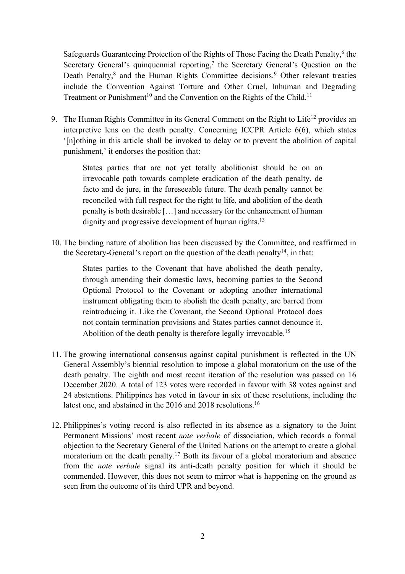Safeguards Guaranteeing Protection of the Rights of Those Facing the Death Penalty, <sup>6</sup> the Secretary General's quinquennial reporting,<sup>7</sup> the Secretary General's Question on the Death Penalty,<sup>8</sup> and the Human Rights Committee decisions.<sup>9</sup> Other relevant treaties include the Convention Against Torture and Other Cruel, Inhuman and Degrading Treatment or Punishment<sup>10</sup> and the Convention on the Rights of the Child.<sup>11</sup>

9. The Human Rights Committee in its General Comment on the Right to Life<sup>12</sup> provides an interpretive lens on the death penalty. Concerning ICCPR Article 6(6), which states '[n]othing in this article shall be invoked to delay or to prevent the abolition of capital punishment,' it endorses the position that:

> States parties that are not yet totally abolitionist should be on an irrevocable path towards complete eradication of the death penalty, de facto and de jure, in the foreseeable future. The death penalty cannot be reconciled with full respect for the right to life, and abolition of the death penalty is both desirable […] and necessary for the enhancement of human dignity and progressive development of human rights.<sup>13</sup>

10. The binding nature of abolition has been discussed by the Committee, and reaffirmed in the Secretary-General's report on the question of the death penalty<sup>14</sup>, in that:

> States parties to the Covenant that have abolished the death penalty, through amending their domestic laws, becoming parties to the Second Optional Protocol to the Covenant or adopting another international instrument obligating them to abolish the death penalty, are barred from reintroducing it. Like the Covenant, the Second Optional Protocol does not contain termination provisions and States parties cannot denounce it. Abolition of the death penalty is therefore legally irrevocable.<sup>15</sup>

- 11. The growing international consensus against capital punishment is reflected in the UN General Assembly's biennial resolution to impose a global moratorium on the use of the death penalty. The eighth and most recent iteration of the resolution was passed on 16 December 2020. A total of 123 votes were recorded in favour with 38 votes against and 24 abstentions. Philippines has voted in favour in six of these resolutions, including the latest one, and abstained in the 2016 and 2018 resolutions.<sup>16</sup>
- 12. Philippines's voting record is also reflected in its absence as a signatory to the Joint Permanent Missions' most recent *note verbale* of dissociation, which records a formal objection to the Secretary General of the United Nations on the attempt to create a global moratorium on the death penalty. <sup>17</sup> Both its favour of a global moratorium and absence from the *note verbale* signal its anti-death penalty position for which it should be commended. However, this does not seem to mirror what is happening on the ground as seen from the outcome of its third UPR and beyond.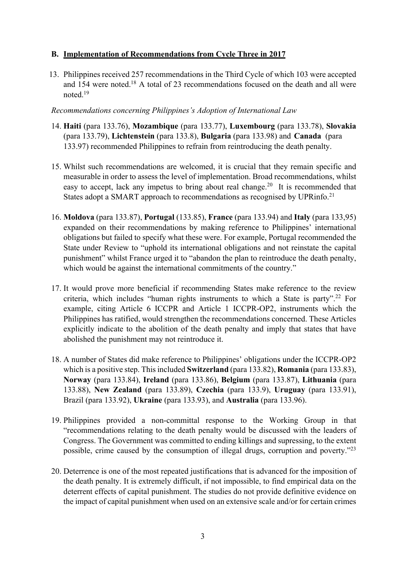## **B. Implementation of Recommendations from Cycle Three in 2017**

13. Philippines received 257 recommendations in the Third Cycle of which 103 were accepted and 154 were noted.18 A total of 23 recommendations focused on the death and all were noted. 19

### *Recommendations concerning Philippines's Adoption of International Law*

- 14. **Haiti** (para 133.76), **Mozambique** (para 133.77), **Luxembourg** (para 133.78), **Slovakia** (para 133.79), **Lichtenstein** (para 133.8), **Bulgaria** (para 133.98) and **Canada\_**(para 133.97) recommended Philippines to refrain from reintroducing the death penalty.
- 15. Whilst such recommendations are welcomed, it is crucial that they remain specific and measurable in order to assess the level of implementation. Broad recommendations, whilst easy to accept, lack any impetus to bring about real change.<sup>20</sup> It is recommended that States adopt a SMART approach to recommendations as recognised by UPRinfo.<sup>21</sup>
- 16. **Moldova** (para 133.87), **Portugal** (133.85), **France** (para 133.94) and **Italy** (para 133,95) expanded on their recommendations by making reference to Philippines' international obligations but failed to specify what these were. For example, Portugal recommended the State under Review to "uphold its international obligations and not reinstate the capital punishment" whilst France urged it to "abandon the plan to reintroduce the death penalty, which would be against the international commitments of the country."
- 17. It would prove more beneficial if recommending States make reference to the review criteria, which includes "human rights instruments to which a State is party".22 For example, citing Article 6 ICCPR and Article 1 ICCPR-OP2, instruments which the Philippines has ratified, would strengthen the recommendations concerned. These Articles explicitly indicate to the abolition of the death penalty and imply that states that have abolished the punishment may not reintroduce it.
- 18. A number of States did make reference to Philippines' obligations under the ICCPR-OP2 which is a positive step. This included **Switzerland** (para 133.82), **Romania** (para 133.83), **Norway** (para 133.84), **Ireland** (para 133.86), **Belgium** (para 133.87), **Lithuania** (para 133.88), **New Zealand** (para 133.89), **Czechia** (para 133.9), **Uruguay** (para 133.91), Brazil (para 133.92), **Ukraine** (para 133.93), and **Australia** (para 133.96).
- 19. Philippines provided a non-committal response to the Working Group in that "recommendations relating to the death penalty would be discussed with the leaders of Congress. The Government was committed to ending killings and supressing, to the extent possible, crime caused by the consumption of illegal drugs, corruption and poverty."23
- 20. Deterrence is one of the most repeated justifications that is advanced for the imposition of the death penalty. It is extremely difficult, if not impossible, to find empirical data on the deterrent effects of capital punishment. The studies do not provide definitive evidence on the impact of capital punishment when used on an extensive scale and/or for certain crimes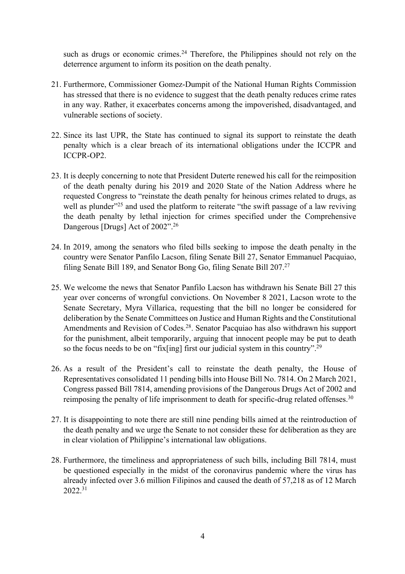such as drugs or economic crimes.<sup>24</sup> Therefore, the Philippines should not rely on the deterrence argument to inform its position on the death penalty.

- 21. Furthermore, Commissioner Gomez-Dumpit of the National Human Rights Commission has stressed that there is no evidence to suggest that the death penalty reduces crime rates in any way. Rather, it exacerbates concerns among the impoverished, disadvantaged, and vulnerable sections of society.
- 22. Since its last UPR, the State has continued to signal its support to reinstate the death penalty which is a clear breach of its international obligations under the ICCPR and ICCPR-OP2.
- 23. It is deeply concerning to note that President Duterte renewed his call for the reimposition of the death penalty during his 2019 and 2020 State of the Nation Address where he requested Congress to "reinstate the death penalty for heinous crimes related to drugs, as well as plunder<sup>325</sup> and used the platform to reiterate "the swift passage of a law reviving the death penalty by lethal injection for crimes specified under the Comprehensive Dangerous [Drugs] Act of 2002".<sup>26</sup>
- 24. In 2019, among the senators who filed bills seeking to impose the death penalty in the country were Senator Panfilo Lacson, filing Senate Bill 27, Senator Emmanuel Pacquiao, filing Senate Bill 189, and Senator Bong Go, filing Senate Bill 207.<sup>27</sup>
- 25. We welcome the news that Senator Panfilo Lacson has withdrawn his Senate Bill 27 this year over concerns of wrongful convictions. On November 8 2021, Lacson wrote to the Senate Secretary, Myra Villarica, requesting that the bill no longer be considered for deliberation by the Senate Committees on Justice and Human Rights and the Constitutional Amendments and Revision of Codes.28. Senator Pacquiao has also withdrawn his support for the punishment, albeit temporarily, arguing that innocent people may be put to death so the focus needs to be on "fix[ing] first our judicial system in this country".<sup>29</sup>
- 26. As a result of the President's call to reinstate the death penalty, the House of Representatives consolidated 11 pending bills into House Bill No. 7814. On 2 March 2021, Congress passed Bill 7814, amending provisions of the Dangerous Drugs Act of 2002 and reimposing the penalty of life imprisonment to death for specific-drug related offenses.<sup>30</sup>
- 27. It is disappointing to note there are still nine pending bills aimed at the reintroduction of the death penalty and we urge the Senate to not consider these for deliberation as they are in clear violation of Philippine's international law obligations.
- 28. Furthermore, the timeliness and appropriateness of such bills, including Bill 7814, must be questioned especially in the midst of the coronavirus pandemic where the virus has already infected over 3.6 million Filipinos and caused the death of 57,218 as of 12 March 2022.31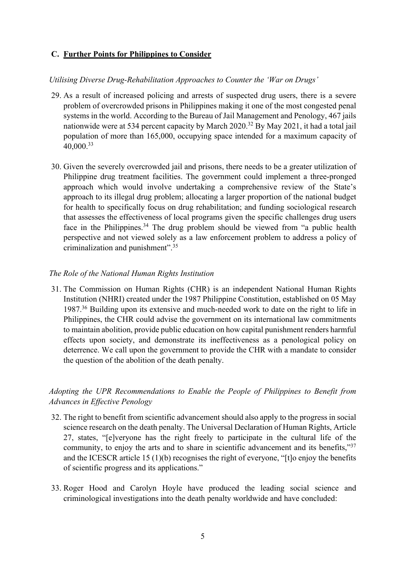### **C. Further Points for Philippines to Consider**

### *Utilising Diverse Drug-Rehabilitation Approaches to Counter the 'War on Drugs'*

- 29. As a result of increased policing and arrests of suspected drug users, there is a severe problem of overcrowded prisons in Philippines making it one of the most congested penal systems in the world. According to the Bureau of Jail Management and Penology, 467 jails nationwide were at 534 percent capacity by March 2020. <sup>32</sup> By May 2021, it had a total jail population of more than 165,000, occupying space intended for a maximum capacity of 40,000.33
- 30. Given the severely overcrowded jail and prisons, there needs to be a greater utilization of Philippine drug treatment facilities. The government could implement a three-pronged approach which would involve undertaking a comprehensive review of the State's approach to its illegal drug problem; allocating a larger proportion of the national budget for health to specifically focus on drug rehabilitation; and funding sociological research that assesses the effectiveness of local programs given the specific challenges drug users face in the Philippines.<sup>34</sup> The drug problem should be viewed from "a public health perspective and not viewed solely as a law enforcement problem to address a policy of criminalization and punishment".35

#### *The Role of the National Human Rights Institution*

31. The Commission on Human Rights (CHR) is an independent National Human Rights Institution (NHRI) created under the 1987 Philippine Constitution, established on 05 May 1987. <sup>36</sup> Building upon its extensive and much-needed work to date on the right to life in Philippines, the CHR could advise the government on its international law commitments to maintain abolition, provide public education on how capital punishment renders harmful effects upon society, and demonstrate its ineffectiveness as a penological policy on deterrence. We call upon the government to provide the CHR with a mandate to consider the question of the abolition of the death penalty.

# *Adopting the UPR Recommendations to Enable the People of Philippines to Benefit from Advances in Effective Penology*

- 32. The right to benefit from scientific advancement should also apply to the progress in social science research on the death penalty. The Universal Declaration of Human Rights, Article 27, states, "[e]veryone has the right freely to participate in the cultural life of the community, to enjoy the arts and to share in scientific advancement and its benefits,"<sup>37</sup> and the ICESCR article 15 (1)(b) recognises the right of everyone, "[t]o enjoy the benefits of scientific progress and its applications."
- 33. Roger Hood and Carolyn Hoyle have produced the leading social science and criminological investigations into the death penalty worldwide and have concluded: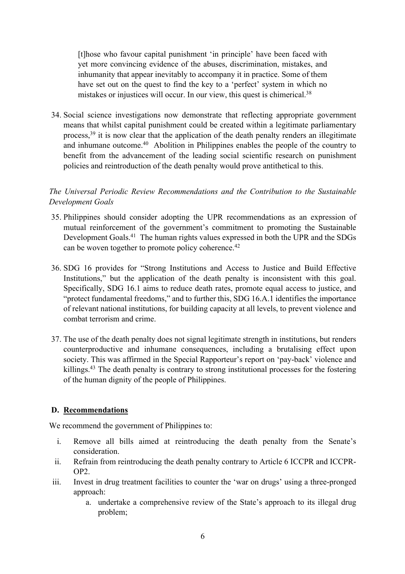[t]hose who favour capital punishment 'in principle' have been faced with yet more convincing evidence of the abuses, discrimination, mistakes, and inhumanity that appear inevitably to accompany it in practice. Some of them have set out on the quest to find the key to a 'perfect' system in which no mistakes or injustices will occur. In our view, this quest is chimerical.<sup>38</sup>

34. Social science investigations now demonstrate that reflecting appropriate government means that whilst capital punishment could be created within a legitimate parliamentary process,  $39$  it is now clear that the application of the death penalty renders an illegitimate and inhumane outcome.<sup>40</sup> Abolition in Philippines enables the people of the country to benefit from the advancement of the leading social scientific research on punishment policies and reintroduction of the death penalty would prove antithetical to this.

# *The Universal Periodic Review Recommendations and the Contribution to the Sustainable Development Goals*

- 35. Philippines should consider adopting the UPR recommendations as an expression of mutual reinforcement of the government's commitment to promoting the Sustainable Development Goals.41 The human rights values expressed in both the UPR and the SDGs can be woven together to promote policy coherence.<sup>42</sup>
- 36. SDG 16 provides for "Strong Institutions and Access to Justice and Build Effective Institutions," but the application of the death penalty is inconsistent with this goal. Specifically, SDG 16.1 aims to reduce death rates, promote equal access to justice, and "protect fundamental freedoms," and to further this, SDG 16.A.1 identifies the importance of relevant national institutions, for building capacity at all levels, to prevent violence and combat terrorism and crime.
- 37. The use of the death penalty does not signal legitimate strength in institutions, but renders counterproductive and inhumane consequences, including a brutalising effect upon society. This was affirmed in the Special Rapporteur's report on 'pay-back' violence and killings.<sup>43</sup> The death penalty is contrary to strong institutional processes for the fostering of the human dignity of the people of Philippines.

## **D. Recommendations**

We recommend the government of Philippines to:

- i. Remove all bills aimed at reintroducing the death penalty from the Senate's consideration.
- ii. Refrain from reintroducing the death penalty contrary to Article 6 ICCPR and ICCPR-OP2.
- iii. Invest in drug treatment facilities to counter the 'war on drugs' using a three-pronged approach:
	- a. undertake a comprehensive review of the State's approach to its illegal drug problem;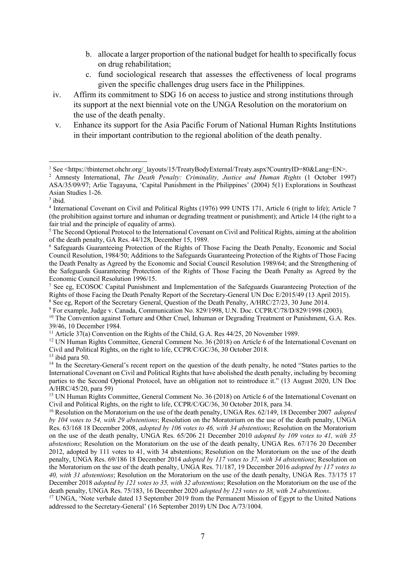- b. allocate a larger proportion of the national budget for health to specifically focus on drug rehabilitation;
- c. fund sociological research that assesses the effectiveness of local programs given the specific challenges drug users face in the Philippines.
- iv. Affirm its commitment to SDG 16 on access to justice and strong institutions through its support at the next biennial vote on the UNGA Resolution on the moratorium on the use of the death penalty.
- v. Enhance its support for the Asia Pacific Forum of National Human Rights Institutions in their important contribution to the regional abolition of the death penalty.

<sup>8</sup> See eg, Report of the Secretary General, Question of the Death Penalty, A/HRC/27/23, 30 June 2014.<br><sup>9</sup> For example, Judge v. Canada, Communication No. 829/1998, U.N. Doc. CCPR/C/78/D/829/1998 (2003).

<sup>11</sup> Article 37(a) Convention on the Rights of the Child, G.A. Res 44/25, 20 November 1989.

 $13$  ibid para 50.

<sup>&</sup>lt;sup>1</sup> See <https://tbinternet.ohchr.org/\_layouts/15/TreatyBodyExternal/Treaty.aspx?CountryID=80&Lang=EN>.

<sup>2</sup> Amnesty International, *The Death Penalty: Criminality, Justice and Human Rights* (1 October 1997) ASA/35/09/97; Arlie Tagayuna, 'Capital Punishment in the Philippines' (2004) 5(1) Explorations in Southeast Asian Studies 1-26.

 $^3$ ibid.

<sup>4</sup> International Covenant on Civil and Political Rights (1976) 999 UNTS 171, Article 6 (right to life); Article 7 (the prohibition against torture and inhuman or degrading treatment or punishment); and Article 14 (the right to a fair trial and the principle of equality of arms).

<sup>5</sup> The Second Optional Protocol to the International Covenant on Civil and Political Rights, aiming at the abolition of the death penalty, GA Res. 44/128, December 15, 1989.

<sup>6</sup> Safeguards Guaranteeing Protection of the Rights of Those Facing the Death Penalty, Economic and Social Council Resolution, 1984/50; Additions to the Safeguards Guaranteeing Protection of the Rights of Those Facing the Death Penalty as Agreed by the Economic and Social Council Resolution 1989/64; and the Strengthening of the Safeguards Guaranteeing Protection of the Rights of Those Facing the Death Penalty as Agreed by the Economic Council Resolution 1996/15.

<sup>7</sup> See eg, ECOSOC Capital Punishment and Implementation of the Safeguards Guaranteeing Protection of the Rights of those Facing the Death Penalty Report of the Secretary-General UN Doc E/2015/49 (13 April 2015).

<sup>&</sup>lt;sup>10</sup> The Convention against Torture and Other Cruel, Inhuman or Degrading Treatment or Punishment, G.A. Res. 39/46, 10 December 1984.

<sup>&</sup>lt;sup>12</sup> UN Human Rights Committee, General Comment No. 36 (2018) on Article 6 of the International Covenant on Civil and Political Rights, on the right to life, CCPR/C/GC/36, 30 October 2018.

<sup>&</sup>lt;sup>14</sup> In the Secretary-General's recent report on the question of the death penalty, he noted "States parties to the International Covenant on Civil and Political Rights that have abolished the death penalty, including by becoming parties to the Second Optional Protocol, have an obligation not to reintroduce it." (13 August 2020, UN Doc A/HRC/45/20, para 59)

<sup>&</sup>lt;sup>15</sup> UN Human Rights Committee, General Comment No. 36 (2018) on Article 6 of the International Covenant on Civil and Political Rights, on the right to life, CCPR/C/GC/36, 30 October 2018, para 34.

<sup>16</sup> Resolution on the Moratorium on the use of the death penalty, UNGA Res. 62/149, 18 December 2007 *adopted by 104 votes to 54, with 29 abstentions*; Resolution on the Moratorium on the use of the death penalty, UNGA Res. 63/168 18 December 2008, *adopted by 106 votes to 46, with 34 abstentions*; Resolution on the Moratorium on the use of the death penalty, UNGA Res. 65/206 21 December 2010 *adopted by 109 votes to 41, with 35 abstentions*; Resolution on the Moratorium on the use of the death penalty, UNGA Res. 67/176 20 December 2012, adopted by 111 votes to 41, with 34 abstentions; Resolution on the Moratorium on the use of the death penalty, UNGA Res. 69/186 18 December 2014 *adopted by 117 votes to 37, with 34 abstentions*; Resolution on the Moratorium on the use of the death penalty, UNGA Res. 71/187, 19 December 2016 *adopted by 117 votes to 40, with 31 abstentions*; Resolution on the Moratorium on the use of the death penalty, UNGA Res. 73/175 17 December 2018 *adopted by 121 votes to 35, with 32 abstentions*; Resolution on the Moratorium on the use of the death penalty, UNGA Res. 75/183, 16 December 2020 *adopted by 123 votes to 38, with 24 abstentions*.

<sup>&</sup>lt;sup>17</sup> UNGA, 'Note verbale dated 13 September 2019 from the Permanent Mission of Egypt to the United Nations addressed to the Secretary-General' (16 September 2019) UN Doc A/73/1004.